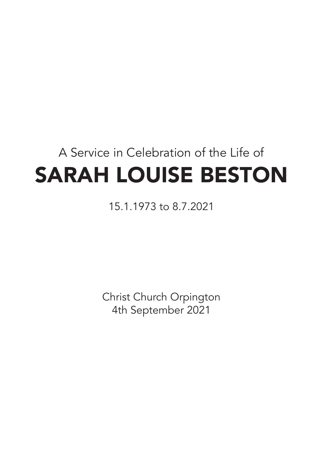# A Service in Celebration of the Life of SARAH LOUISE BESTON

15.1.1973 to 8.7.2021

Christ Church Orpington 4th September 2021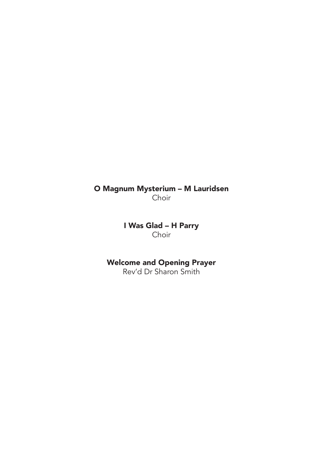## O Magnum Mysterium – M Lauridsen Choir

I Was Glad – H Parry Choir

# Welcome and Opening Prayer

Rev'd Dr Sharon Smith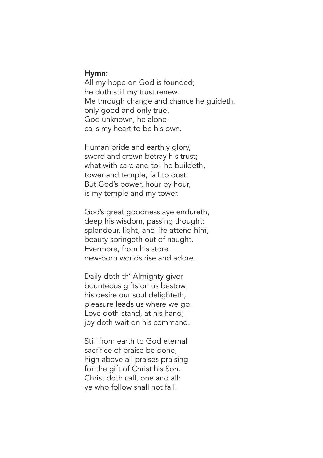## Hymn:

All my hope on God is founded; he doth still my trust renew. Me through change and chance he guideth, only good and only true. God unknown, he alone calls my heart to be his own.

Human pride and earthly glory, sword and crown betray his trust; what with care and toil he buildeth, tower and temple, fall to dust. But God's power, hour by hour, is my temple and my tower.

God's great goodness aye endureth, deep his wisdom, passing thought: splendour, light, and life attend him, beauty springeth out of naught. Evermore, from his store new-born worlds rise and adore.

Daily doth th' Almighty giver bounteous gifts on us bestow; his desire our soul delighteth, pleasure leads us where we go. Love doth stand, at his hand; joy doth wait on his command.

Still from earth to God eternal sacrifice of praise be done, high above all praises praising for the gift of Christ his Son. Christ doth call, one and all: ye who follow shall not fall.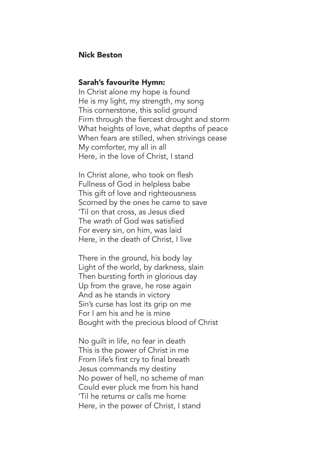## Nick Beston

#### Sarah's favourite Hymn:

In Christ alone my hope is found He is my light, my strength, my song This cornerstone, this solid ground Firm through the fiercest drought and storm What heights of love, what depths of peace When fears are stilled, when strivings cease My comforter, my all in all Here, in the love of Christ, I stand

In Christ alone, who took on flesh Fullness of God in helpless babe This gift of love and righteousness Scorned by the ones he came to save 'Til on that cross, as Jesus died The wrath of God was satisfied For every sin, on him, was laid Here, in the death of Christ, I live

There in the ground, his body lay Light of the world, by darkness, slain Then bursting forth in glorious day Up from the grave, he rose again And as he stands in victory Sin's curse has lost its grip on me For I am his and he is mine Bought with the precious blood of Christ

No guilt in life, no fear in death This is the power of Christ in me From life's first cry to final breath Jesus commands my destiny No power of hell, no scheme of man Could ever pluck me from his hand 'Til he returns or calls me home Here, in the power of Christ, I stand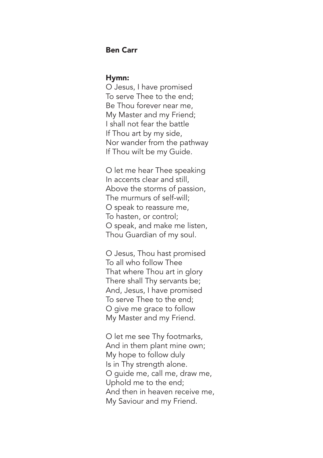## Ben Carr

#### Hymn:

O Jesus, I have promised To serve Thee to the end; Be Thou forever near me, My Master and my Friend; I shall not fear the battle If Thou art by my side, Nor wander from the pathway If Thou wilt be my Guide.

O let me hear Thee speaking In accents clear and still, Above the storms of passion, The murmurs of self-will; O speak to reassure me, To hasten, or control; O speak, and make me listen, Thou Guardian of my soul.

O Jesus, Thou hast promised To all who follow Thee That where Thou art in glory There shall Thy servants be; And, Jesus, I have promised To serve Thee to the end; O give me grace to follow My Master and my Friend.

O let me see Thy footmarks, And in them plant mine own; My hope to follow duly Is in Thy strength alone. O guide me, call me, draw me, Uphold me to the end; And then in heaven receive me, My Saviour and my Friend.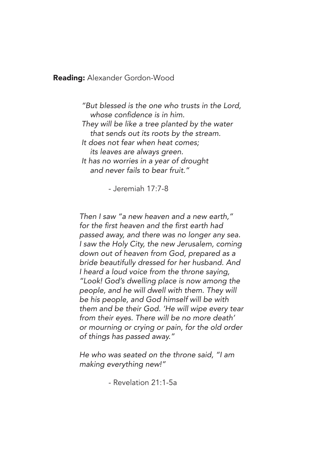Reading: Alexander Gordon-Wood

*"But blessed is the one who trusts in the Lord,* whose confidence is in him. *They will be like a tree planted by the water* that sends out its roots by the stream. It does not fear when heat comes; its leaves are always green. *It has no worries in a year of drought* and never fails to bear fruit."

- Jeremiah 17:7-8

Then I saw "a new heaven and a new earth," for the first heaven and the first earth had passed away, and there was no longer any sea. I saw the Holy City, the new Jerusalem, coming down out of heaven from God, prepared as a bride beautifully dressed for her husband. And I heard a loud voice from the throne saying, "Look! God's dwelling place is now among the people, and he will dwell with them. They will be his people, and God himself will be with them and be their God. 'He will wipe every tear from their eyes. There will be no more death' or mourning or crying or pain, for the old order of things has passed away."

He who was seated on the throne said, "I am making everything new!"

- Revelation 21:1-5a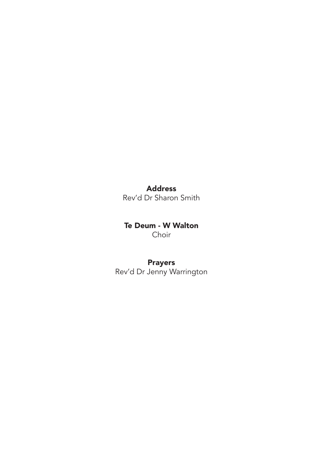# Address

Rev'd Dr Sharon Smith

# Te Deum - W Walton

Choir

# Prayers

Rev'd Dr Jenny Warrington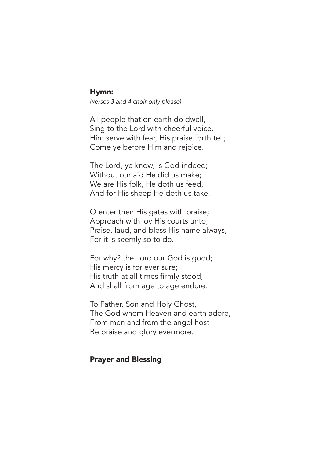## Hymn:

*(verses 3 and 4 choir only please)*

All people that on earth do dwell, Sing to the Lord with cheerful voice. Him serve with fear, His praise forth tell; Come ye before Him and rejoice.

The Lord, ye know, is God indeed; Without our aid He did us make; We are His folk, He doth us feed, And for His sheep He doth us take.

O enter then His gates with praise; Approach with joy His courts unto; Praise, laud, and bless His name always, For it is seemly so to do.

For why? the Lord our God is good; His mercy is for ever sure; His truth at all times firmly stood, And shall from age to age endure.

To Father, Son and Holy Ghost, The God whom Heaven and earth adore, From men and from the angel host Be praise and glory evermore.

## Prayer and Blessing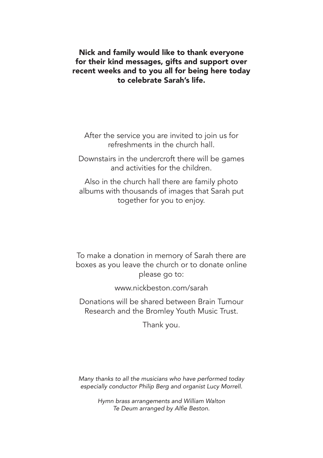Nick and family would like to thank everyone for their kind messages, gifts and support over recent weeks and to you all for being here today to celebrate Sarah's life.

After the service you are invited to join us for refreshments in the church hall.

Downstairs in the undercroft there will be games and activities for the children.

Also in the church hall there are family photo albums with thousands of images that Sarah put together for you to enjoy.

To make a donation in memory of Sarah there are boxes as you leave the church or to donate online please go to:

www.nickbeston.com/sarah

Donations will be shared between Brain Tumour Research and the Bromley Youth Music Trust.

Thank you.

Many thanks to all the musicians who have performed today especially conductor Philip Berg and organist Lucy Morrell.

> Hymn brass arrangements and William Walton Te Deum arranged by Alfie Beston.